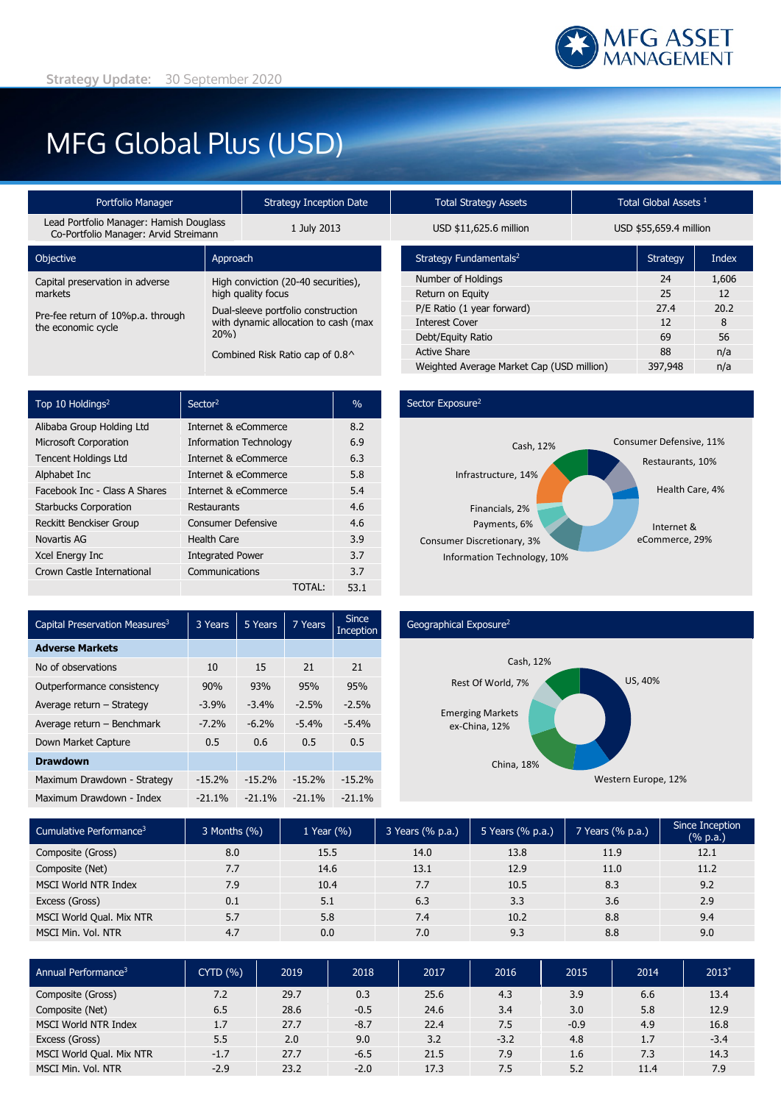

# MFG Global Plus (USD)

| Portfolio Manager                                                                |                                                           | Strategy Inception Date                     |  | Total Strategy Assets              | Total Global Assets <sup>1</sup> |                 |  |
|----------------------------------------------------------------------------------|-----------------------------------------------------------|---------------------------------------------|--|------------------------------------|----------------------------------|-----------------|--|
| Lead Portfolio Manager: Hamish Douglass<br>Co-Portfolio Manager: Arvid Streimann |                                                           | 1 July 2013                                 |  | USD \$11,625.6 million             | USD \$55,659.4 millior           |                 |  |
| Objective                                                                        | Approach                                                  |                                             |  | Strategy Fundamentals <sup>2</sup> |                                  | <b>Strategy</b> |  |
| Capital preservation in adverse                                                  | High conviction (20-40 securities),<br>high quality focus |                                             |  | Number of Holdings                 |                                  | 24              |  |
| markets                                                                          |                                                           |                                             |  | Return on Equity                   |                                  | 25              |  |
| Pre-fee return of 10%p.a. through<br>the economic cycle                          | Dual-sleeve portfolio construction                        |                                             |  | P/E Ratio (1 year forward)         |                                  | 27.4            |  |
|                                                                                  |                                                           | with dynamic allocation to cash (max<br>20% |  | <b>Interest Cover</b>              |                                  | 12              |  |
|                                                                                  |                                                           |                                             |  | Debt/Equity Ratio                  |                                  | 69              |  |
|                                                                                  | Combined Risk Ratio cap of 0.8^                           |                                             |  | <b>Active Share</b>                |                                  | 88              |  |
|                                                                                  |                                                           |                                             |  |                                    |                                  |                 |  |

| Top 10 Holdings <sup>2</sup>  | Sector <sup>2</sup>           | $\%$ |
|-------------------------------|-------------------------------|------|
| Alibaba Group Holding Ltd     | Internet & eCommerce          | 8.2  |
| <b>Microsoft Corporation</b>  | <b>Information Technology</b> | 6.9  |
| <b>Tencent Holdings Ltd</b>   | Internet & eCommerce          | 6.3  |
| Alphabet Inc                  | Internet & eCommerce          | 5.8  |
| Facebook Inc - Class A Shares | Internet & eCommerce          | 5.4  |
| <b>Starbucks Corporation</b>  | Restaurants                   | 4.6  |
| Reckitt Benckiser Group       | <b>Consumer Defensive</b>     | 4.6  |
| Novartis AG                   | <b>Health Care</b>            | 3.9  |
| Xcel Energy Inc               | <b>Integrated Power</b>       | 3.7  |
| Crown Castle International    | Communications                | 3.7  |
|                               | <b>TOTAL:</b>                 | 53.1 |

| Portfolio Manager                                         |                                                                            | Strategy Inception Date         | Total Strategy Assets                     | Total Global Assets <sup>1</sup> |                        |              |  |
|-----------------------------------------------------------|----------------------------------------------------------------------------|---------------------------------|-------------------------------------------|----------------------------------|------------------------|--------------|--|
| io Manager: Hamish Douglass<br>o Manager: Arvid Streimann |                                                                            | 1 July 2013                     | USD \$11,625.6 million                    |                                  | USD \$55,659.4 million |              |  |
|                                                           | Approach                                                                   |                                 | Strategy Fundamentals <sup>2</sup>        |                                  | Strategy               | <b>Index</b> |  |
| vation in adverse<br>High conviction (20-40 securities),  |                                                                            | Number of Holdings              |                                           |                                  | 1,606                  |              |  |
|                                                           | high quality focus                                                         |                                 | Return on Equity                          |                                  | 25                     | 12           |  |
|                                                           | Dual-sleeve portfolio construction<br>with dynamic allocation to cash (max |                                 | P/E Ratio (1 year forward)                |                                  | 27.4                   | 20.2         |  |
| of 10%p.a. through<br>cycle                               |                                                                            |                                 | <b>Interest Cover</b>                     |                                  | 12                     | 8            |  |
|                                                           | 20%                                                                        | Debt/Equity Ratio               |                                           | 69                               | 56                     |              |  |
|                                                           |                                                                            | Combined Risk Ratio cap of 0.8^ | <b>Active Share</b>                       |                                  |                        | n/a          |  |
|                                                           |                                                                            |                                 | Weighted Average Market Cap (USD million) |                                  | 397,948                | n/a          |  |

### Sector Exposure<sup>2</sup>



| Capital Preservation Measures <sup>3</sup> | 3 Years  | 5 Years  | 7 Years  | Since<br>Inception |
|--------------------------------------------|----------|----------|----------|--------------------|
| <b>Adverse Markets</b>                     |          |          |          |                    |
| No of observations                         | 10       | 15       | 21       | 21                 |
| Outperformance consistency                 | 90%      | 93%      | 95%      | 95%                |
| Average return - Strategy                  | $-3.9%$  | $-3.4%$  | $-2.5%$  | $-2.5%$            |
| Average return - Benchmark                 | $-7.2%$  | $-6.2%$  | $-5.4%$  | $-5.4%$            |
| Down Market Capture                        | 0.5      | 0.6      | 0.5      | 0.5                |
| <b>Drawdown</b>                            |          |          |          |                    |
| Maximum Drawdown - Strategy                | $-15.2%$ | $-15.2%$ | $-15.2%$ | $-15.2%$           |
| Maximum Drawdown - Index                   | $-21.1%$ | $-21.1%$ | $-21.1%$ | $-21.1%$           |

### Geographical Exposure2



| Cumulative Performance <sup>3</sup> | 3 Months (%) | 1 Year $(\% )$ | 3 Years (% p.a.) | 5 Years (% p.a.) | 7 Years (% p.a.) | Since Inception<br>$(% \mathbb{R}^2)$ (% p.a.) |
|-------------------------------------|--------------|----------------|------------------|------------------|------------------|------------------------------------------------|
| Composite (Gross)                   | 8.0          | 15.5           | 14.0             | 13.8             | 11.9             | 12.1                                           |
| Composite (Net)                     | 7.7          | 14.6           | 13.1             | 12.9             | 11.0             | 11.2                                           |
| <b>MSCI World NTR Index</b>         | 7.9          | 10.4           | 7.7              | 10.5             | 8.3              | 9.2                                            |
| Excess (Gross)                      | 0.1          | 5.1            | 6.3              | 3.3              | 3.6              | 2.9                                            |
| MSCI World Qual. Mix NTR            | 5.7          | 5.8            | 7.4              | 10.2             | 8.8              | 9.4                                            |
| MSCI Min. Vol. NTR                  | 4.7          | 0.0            | 7.0              | 9.3              | 8.8              | 9.0                                            |

| Annual Performance <sup>3</sup> | CYTD(%) | 2019 | 2018   | 2017 | 2016   | 2015   | 2014 | 2013   |
|---------------------------------|---------|------|--------|------|--------|--------|------|--------|
| Composite (Gross)               | 7.2     | 29.7 | 0.3    | 25.6 | 4.3    | 3.9    | 6.6  | 13.4   |
| Composite (Net)                 | 6.5     | 28.6 | $-0.5$ | 24.6 | 3.4    | 3.0    | 5.8  | 12.9   |
| <b>MSCI World NTR Index</b>     | 1.7     | 27.7 | $-8.7$ | 22.4 | 7.5    | $-0.9$ | 4.9  | 16.8   |
| Excess (Gross)                  | 5.5     | 2.0  | 9.0    | 3.2  | $-3.2$ | 4.8    | 1.7  | $-3.4$ |
| MSCI World Qual. Mix NTR        | $-1.7$  | 27.7 | $-6.5$ | 21.5 | 7.9    | 1.6    | 7.3  | 14.3   |
| MSCI Min. Vol. NTR              | $-2.9$  | 23.2 | $-2.0$ | 17.3 | 7.5    | 5.2    | 11.4 | 7.9    |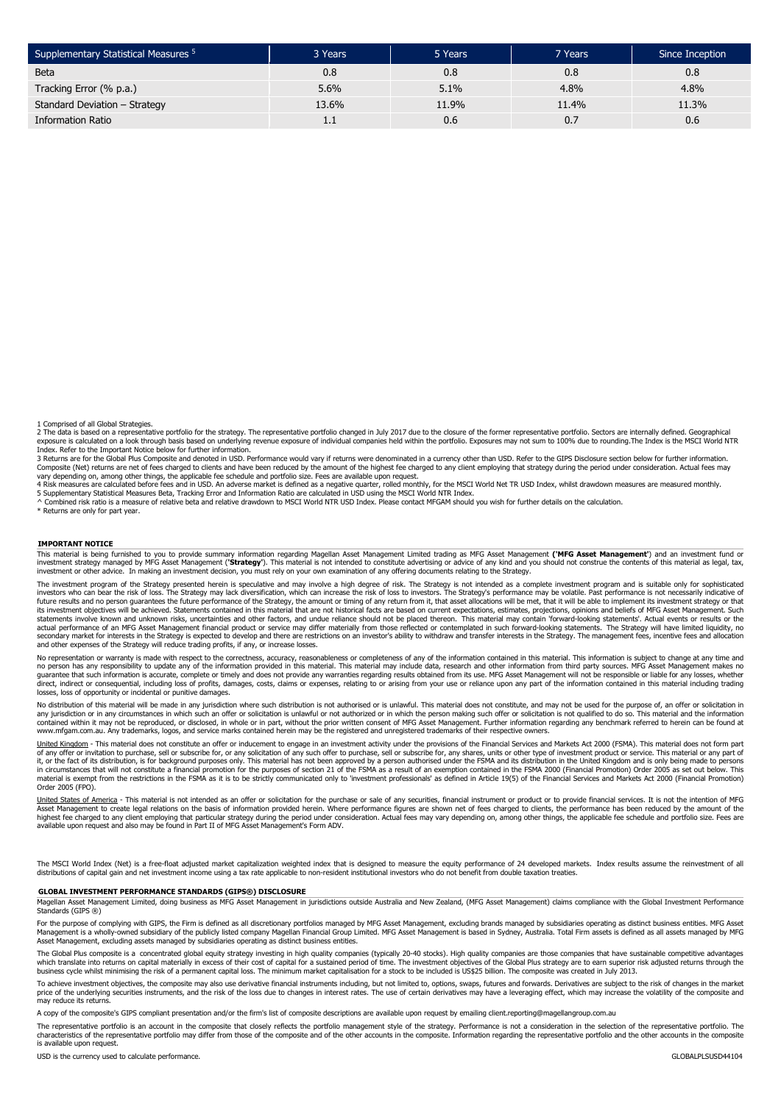| Supplementary Statistical Measures <sup>5</sup> | 3 Years | 5 Years | 7 Years | Since Inception |
|-------------------------------------------------|---------|---------|---------|-----------------|
| <b>Beta</b>                                     | 0.8     | 0.8     | 0.8     | 0.8             |
| Tracking Error (% p.a.)                         | 5.6%    | 5.1%    | 4.8%    | 4.8%            |
| Standard Deviation - Strategy                   | 13.6%   | 11.9%   | 11.4%   | 11.3%           |
| <b>Information Ratio</b>                        | 1.1     | 0.6     | 0.7     | 0.6             |

1 Comprised of all Global Strategies.

2 The data is based on a representative portfolio for the strategy. The representative portfolio changed in July 2017 due to the closure of the former representative portfolio. Sectors are internally defined. Geographical exposure is calculated on a look through basis based on underlying revenue exposure of individual companies held within the portfolio. Exposures may not sum to 100% due to rounding.The Index is the MSCI World NTR Index. Refer to the Important Notice below for further information.

3 Returns are for the Global Plus Composite and denoted in USD. Performance would vary if returns were denominated in a currency other than USD. Refer to the GIPS Disclosure section below for further information.<br>Composite vary depending on, among other things, the applicable fee schedule and portfolio size. Fees are available upon request.

4 Risk measures are calculated before fees and in USD. An adverse market is defined as a negative quarter, rolled monthly, for the MSCI World Net TR USD Index, whilst drawdown measures are measured monthly.<br>5 Supplementary

^ Combined risk ratio is a measure of relative beta and relative drawdown to MSCI World NTR USD Index. Please contact MFGAM should you wish for further details on the calculation.

\* Returns are only for part year.

#### **IMPORTANT NOTICE**

This material is being furnished to you to provide summary information regarding Magellan Asset Managementh Limited trading as MFG Asset Management (**'MFG Asset Management'**) and an investment fund or<br>investment strategy m investment or other advice. In making an investment decision, you must rely on your own examination of any offering documents relating to the Strategy.

The investment program of the Strategy presented herein is speculative and may involve a high degree of risk. The Strategy is not intended as a complete investment program and is suitable only for sophisticated<br>investors w future results and no person guarantees the future performance of the Strategy, the amount or timing of any return from it, that asset allocations will be met, that it will be able to implement its investment strategy or t statements involve known and unknown risks, uncertainties and other factors, and undue reliance should not be placed thereon. This material may contain 'forward-looking statements'. Actual events or results or the actual performance of an MFG Asset Management financial product or service may differ materially from those reflected or contemplated in such forward-looking statements. The Strategy will have limited liquidity, no<br>seconda

No representation or warranty is made with respect to the correctness, accuracy, reasonableness or completeness of any of the information contained in this material. This information is subject to change at any time and<br>no guarantee that such information is accurate, complete or timely and does not provide any warranties regarding results obtained from its use. MFG Asset Management will not be responsible or liable for any losses, whether<br>di losses, loss of opportunity or incidental or punitive damages.

No distribution of this material will be made in any jurisdiction where such distribution is not authorised or is unlawful. This material does not constitute, and may not be used for the purpose of, an offer or solicitatio any jurisdiction or in any circumstances in which such an otter or solicitation is unlawful or not authorized or in which the person making such ofter or solicitation is not qualified to do so. This material and the inform www.mfgam.com.au. Any trademarks, logos, and service marks contained herein may be the registered and unregistered trademarks of their respective owners.

United Kingdom - This material does not constitute an offer or inducement to engage in an investment activity under the provisions of the Financial Services and Markets Act 2000 (FSMA). This material does not form part of any offer or invitation to purchase, sell or subscribe for, or any solicitation of any such offer to purchase, sell or subscribe for, any shares, units or other type of investment product or service. This material or an in circumstances that will not constitute a financial promotion for the purposes of section 21 of the FSMA as a result of an exemption contained in the FSMA 2000 (Financial Promotion) Order 2005 as set out below. This<br>mate Order 2005 (FPO).

United States of America - This material is not intended as an offer or solicitation for the purchase or sale of any securities, financial instrument or product or to provide financial services. It is not the intention of Asset Management to create legal relations on the basis of information provided herein. Where performance figures are shown net of fees charged to clients, the performance has been reduced by the amount of the<br>highest fee available upon request and also may be found in Part II of MFG Asset Management's Form ADV.

The MSCI World Index (Net) is a free-float adjusted market capitalization weighted index that is designed to measure the equity performance of 24 developed markets. Index results assume the reinvestment of all<br>distribution

#### **GLOBAL INVESTMENT PERFORMANCE STANDARDS (GIPS®) DISCLOSURE**

Magellan Asset Management Limited, doing business as MFG Asset Management in jurisdictions outside Australia and New Zealand, (MFG Asset Management) claims compliance with the Global Investment Performance Standards (GIPS ®)

For the purpose of complying with GIPS, the Firm is defined as all discretionary portfolios managed by MFG Asset Management, excluding brands managed by subsidiaries operating as distinct business entities. MFG Asset Management is a wholly-owned subsidiary of the publicly listed company Magellan Financial Group Limited. MFG Asset Management is based in Sydney, Australia. Total Firm assets is defined as all assets managed by MFG<br>Asset M

The Global Plus composite is a concentrated global equity strategy investing in high quality companies (typically 20-40 stocks). High quality companies are those companies that have sustainable competitive advantages which translate into returns on capital materially in excess of their cost of capital for a sustained period of time. The investment objectives of the Global Plus strategy are to earn superior risk adjusted returns through

To achieve investment objectives, the composite may also use derivative financial instruments including, but not limited to, options, swaps, futures and forwards. Derivatives are subject to the risk of changes in the marke may reduce its returns.

A copy of the composite's GIPS compliant presentation and/or the firm's list of composite descriptions are available upon request by emailing client.reporting@magellangroup.com.au

The representative portfolio is an account in the composite that closely reflects the portfolio management style of the strategy. Performance is not a consideration in the selection of the representative portfolio. The characteristics of the representative portfolio may differ from those of the composite and of the other accounts in the composite. Information regarding the representative portfolio and the other accounts in the composite is available upon request.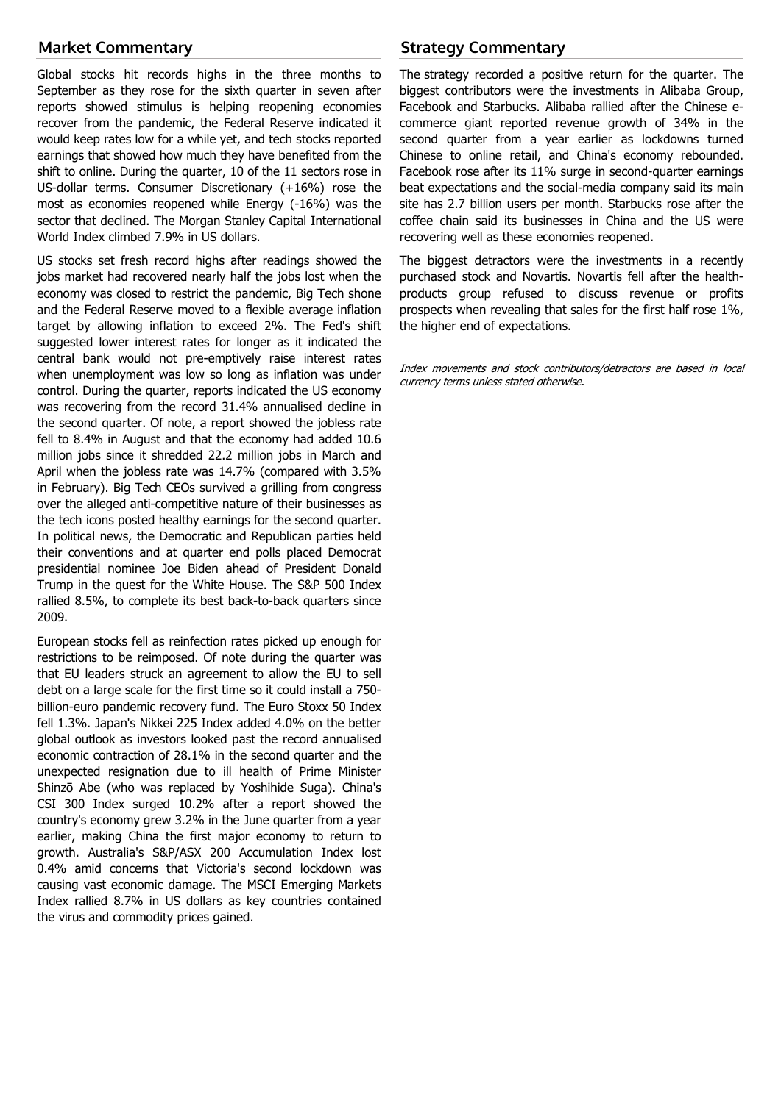## **Market Commentary**

Global stocks hit records highs in the three months to September as they rose for the sixth quarter in seven after reports showed stimulus is helping reopening economies recover from the pandemic, the Federal Reserve indicated it would keep rates low for a while yet, and tech stocks reported earnings that showed how much they have benefited from the shift to online. During the quarter, 10 of the 11 sectors rose in US-dollar terms. Consumer Discretionary (+16%) rose the most as economies reopened while Energy (-16%) was the sector that declined. The Morgan Stanley Capital International World Index climbed 7.9% in US dollars.

US stocks set fresh record highs after readings showed the jobs market had recovered nearly half the jobs lost when the economy was closed to restrict the pandemic, Big Tech shone and the Federal Reserve moved to a flexible average inflation target by allowing inflation to exceed 2%. The Fed's shift suggested lower interest rates for longer as it indicated the central bank would not pre-emptively raise interest rates when unemployment was low so long as inflation was under control. During the quarter, reports indicated the US economy was recovering from the record 31.4% annualised decline in the second quarter. Of note, a report showed the jobless rate fell to 8.4% in August and that the economy had added 10.6 million jobs since it shredded 22.2 million jobs in March and April when the jobless rate was 14.7% (compared with 3.5% in February). Big Tech CEOs survived a grilling from congress over the alleged anti-competitive nature of their businesses as the tech icons posted healthy earnings for the second quarter. In political news, the Democratic and Republican parties held their conventions and at quarter end polls placed Democrat presidential nominee Joe Biden ahead of President Donald Trump in the quest for the White House. The S&P 500 Index rallied 8.5%, to complete its best back-to-back quarters since 2009.

European stocks fell as reinfection rates picked up enough for restrictions to be reimposed. Of note during the quarter was that EU leaders struck an agreement to allow the EU to sell debt on a large scale for the first time so it could install a 750 billion-euro pandemic recovery fund. The Euro Stoxx 50 Index fell 1.3%. Japan's Nikkei 225 Index added 4.0% on the better global outlook as investors looked past the record annualised economic contraction of 28.1% in the second quarter and the unexpected resignation due to ill health of Prime Minister Shinzō Abe (who was replaced by Yoshihide Suga). China's CSI 300 Index surged 10.2% after a report showed the country's economy grew 3.2% in the June quarter from a year earlier, making China the first major economy to return to growth. Australia's S&P/ASX 200 Accumulation Index lost 0.4% amid concerns that Victoria's second lockdown was causing vast economic damage. The MSCI Emerging Markets Index rallied 8.7% in US dollars as key countries contained the virus and commodity prices gained.

## **Strategy Commentary**

The strategy recorded a positive return for the quarter. The biggest contributors were the investments in Alibaba Group, Facebook and Starbucks. Alibaba rallied after the Chinese ecommerce giant reported revenue growth of 34% in the second quarter from a year earlier as lockdowns turned Chinese to online retail, and China's economy rebounded. Facebook rose after its 11% surge in second-quarter earnings beat expectations and the social-media company said its main site has 2.7 billion users per month. Starbucks rose after the coffee chain said its businesses in China and the US were recovering well as these economies reopened.

The biggest detractors were the investments in a recently purchased stock and Novartis. Novartis fell after the healthproducts group refused to discuss revenue or profits prospects when revealing that sales for the first half rose 1%, the higher end of expectations.

Index movements and stock contributors/detractors are based in local currency terms unless stated otherwise.